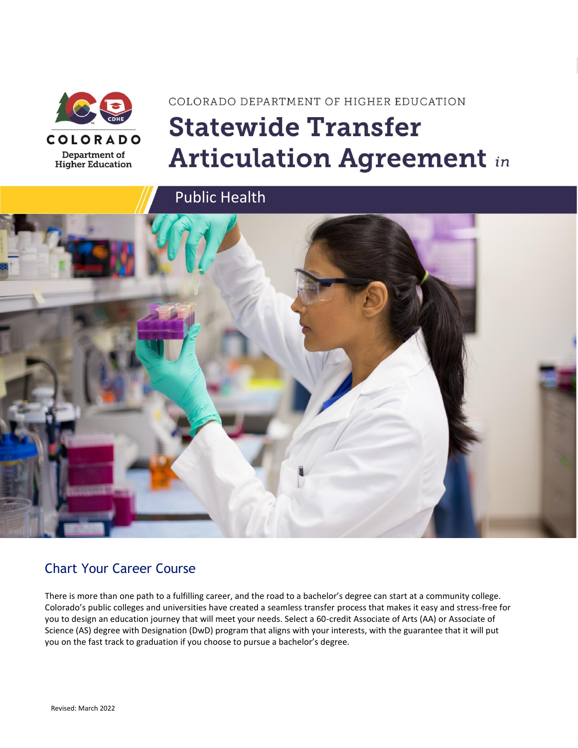

# COLORADO DEPARTMENT OF HIGHER EDUCATION **Statewide Transfer Articulation Agreement in**



### Chart Your Career Course

There is more than one path to a fulfilling career, and the road to a bachelor's degree can start at a community college. Colorado's public colleges and universities have created a seamless transfer process that makes it easy and stress-free for you to design an education journey that will meet your needs. Select a 60-credit Associate of Arts (AA) or Associate of Science (AS) degree with Designation (DwD) program that aligns with your interests, with the guarantee that it will put you on the fast track to graduation if you choose to pursue a bachelor's degree.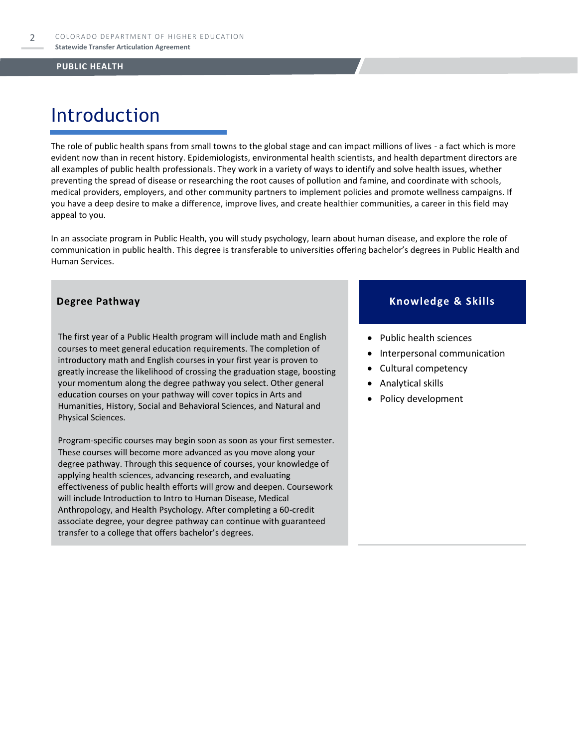# Introduction

The role of public health spans from small towns to the global stage and can impact millions of lives - a fact which is more evident now than in recent history. Epidemiologists, environmental health scientists, and health department directors are all examples of public health professionals. They work in a variety of ways to identify and solve health issues, whether preventing the spread of disease or researching the root causes of pollution and famine, and coordinate with schools, medical providers, employers, and other community partners to implement policies and promote wellness campaigns. If you have a deep desire to make a difference, improve lives, and create healthier communities, a career in this field may appeal to you.

In an associate program in Public Health, you will study psychology, learn about human disease, and explore the role of communication in public health. This degree is transferable to universities offering bachelor's degrees in Public Health and Human Services.

The first year of a Public Health program will include math and English courses to meet general education requirements. The completion of introductory math and English courses in your first year is proven to greatly increase the likelihood of crossing the graduation stage, boosting your momentum along the degree pathway you select. Other general education courses on your pathway will cover topics in Arts and Humanities, History, Social and Behavioral Sciences, and Natural and Physical Sciences.

Program-specific courses may begin soon as soon as your first semester. These courses will become more advanced as you move along your degree pathway. Through this sequence of courses, your knowledge of applying health sciences, advancing research, and evaluating effectiveness of public health efforts will grow and deepen. Coursework will include Introduction to Intro to Human Disease, Medical Anthropology, and Health Psychology. After completing a 60-credit associate degree, your degree pathway can continue with guaranteed transfer to a college that offers bachelor's degrees.

#### **Degree Pathway Knowledge & Skills**

- Public health sciences
- Interpersonal communication
- Cultural competency
- Analytical skills
- Policy development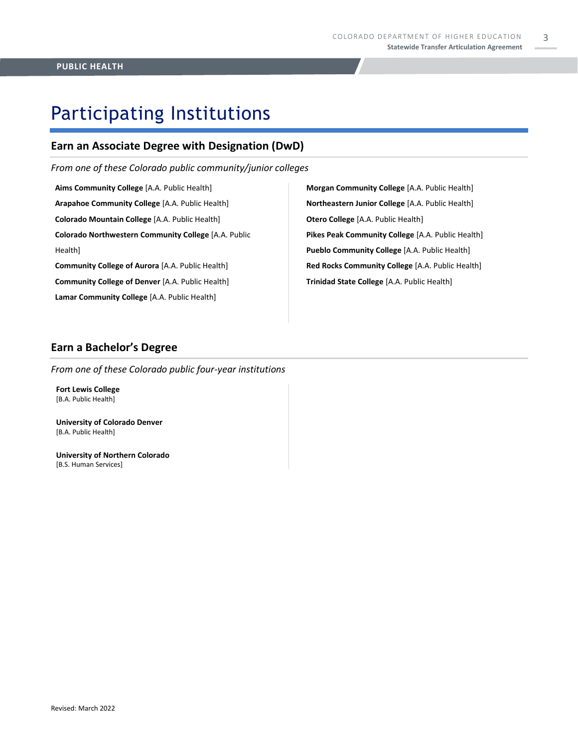# Participating Institutions

### **Earn an Associate Degree with Designation (DwD)**

*From one of these Colorado public community/junior colleges*

**Aims Community College** [A.A. Public Health] **Arapahoe Community College** [A.A. Public Health] **Colorado Mountain College** [A.A. Public Health] **Colorado Northwestern Community College** [A.A. Public Health] **Community College of Aurora** [A.A. Public Health]

**Community College of Denver** [A.A. Public Health] **Lamar Community College** [A.A. Public Health]

**Morgan Community College** [A.A. Public Health] **Northeastern Junior College** [A.A. Public Health] **Otero College** [A.A. Public Health] **Pikes Peak Community College** [A.A. Public Health] **Pueblo Community College** [A.A. Public Health] **Red Rocks Community College** [A.A. Public Health] **Trinidad State College** [A.A. Public Health]

#### **Earn a Bachelor's Degree**

*From one of these Colorado public four-year institutions*

**Fort Lewis College**  [B.A. Public Health]

**University of Colorado Denver** [B.A. Public Health]

**University of Northern Colorado** [B.S. Human Services]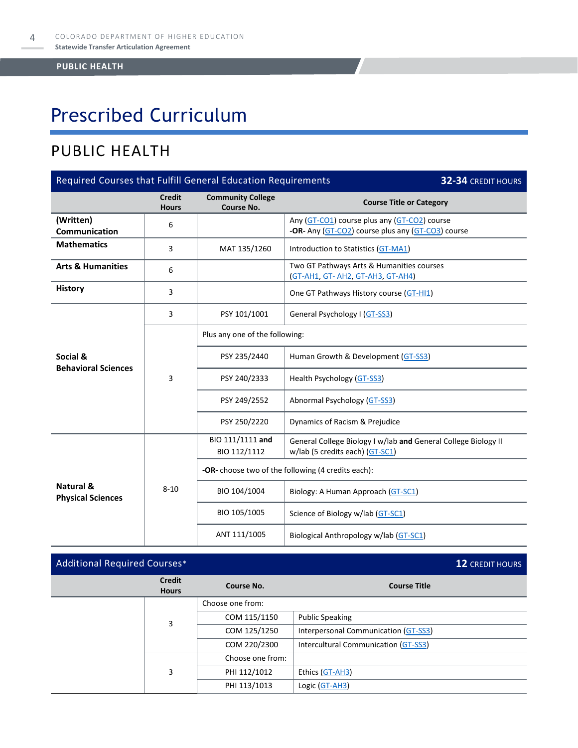# Prescribed Curriculum

### PUBLIC HEALTH

| Required Courses that Fulfill General Education Requirements<br>32-34 CREDIT HOURS |                               |                                                    |                                                                                                   |  |  |
|------------------------------------------------------------------------------------|-------------------------------|----------------------------------------------------|---------------------------------------------------------------------------------------------------|--|--|
|                                                                                    | <b>Credit</b><br><b>Hours</b> | <b>Community College</b><br>Course No.             | <b>Course Title or Category</b>                                                                   |  |  |
| (Written)<br><b>Communication</b>                                                  | 6                             |                                                    | Any (GT-CO1) course plus any (GT-CO2) course<br>-OR- Any (GT-CO2) course plus any (GT-CO3) course |  |  |
| <b>Mathematics</b>                                                                 | 3                             | MAT 135/1260                                       | Introduction to Statistics (GT-MA1)                                                               |  |  |
| <b>Arts &amp; Humanities</b>                                                       | 6                             |                                                    | Two GT Pathways Arts & Humanities courses<br>(GT-AH1, GT-AH2, GT-AH3, GT-AH4)                     |  |  |
| <b>History</b>                                                                     | 3                             |                                                    | One GT Pathways History course (GT-HI1)                                                           |  |  |
|                                                                                    | 3                             | PSY 101/1001                                       | General Psychology I (GT-SS3)                                                                     |  |  |
|                                                                                    | 3                             | Plus any one of the following:                     |                                                                                                   |  |  |
| Social &<br><b>Behavioral Sciences</b>                                             |                               | PSY 235/2440                                       | Human Growth & Development (GT-SS3)                                                               |  |  |
|                                                                                    |                               | PSY 240/2333                                       | Health Psychology (GT-SS3)                                                                        |  |  |
|                                                                                    |                               | PSY 249/2552                                       | Abnormal Psychology (GT-SS3)                                                                      |  |  |
|                                                                                    |                               | PSY 250/2220                                       | Dynamics of Racism & Prejudice                                                                    |  |  |
|                                                                                    | $8 - 10$                      | BIO 111/1111 and<br>BIO 112/1112                   | General College Biology I w/lab and General College Biology II<br>w/lab (5 credits each) (GT-SC1) |  |  |
|                                                                                    |                               | -OR- choose two of the following (4 credits each): |                                                                                                   |  |  |
| Natural &<br><b>Physical Sciences</b>                                              |                               | BIO 104/1004                                       | Biology: A Human Approach (GT-SC1)                                                                |  |  |
|                                                                                    |                               | BIO 105/1005                                       | Science of Biology w/lab (GT-SC1)                                                                 |  |  |
|                                                                                    |                               | ANT 111/1005                                       | Biological Anthropology w/lab (GT-SC1)                                                            |  |  |

| <b>Additional Required Courses*</b> |                               |                  |                                      | <b>12 CREDIT HOURS</b> |
|-------------------------------------|-------------------------------|------------------|--------------------------------------|------------------------|
|                                     | <b>Credit</b><br><b>Hours</b> | Course No.       | <b>Course Title</b>                  |                        |
|                                     | 3                             | Choose one from: |                                      |                        |
|                                     |                               | COM 115/1150     | <b>Public Speaking</b>               |                        |
|                                     |                               | COM 125/1250     | Interpersonal Communication (GT-SS3) |                        |
|                                     |                               | COM 220/2300     | Intercultural Communication (GT-SS3) |                        |
|                                     | 3                             | Choose one from: |                                      |                        |
|                                     |                               | PHI 112/1012     | Ethics (GT-AH3)                      |                        |
|                                     |                               | PHI 113/1013     | Logic (GT-AH3)                       |                        |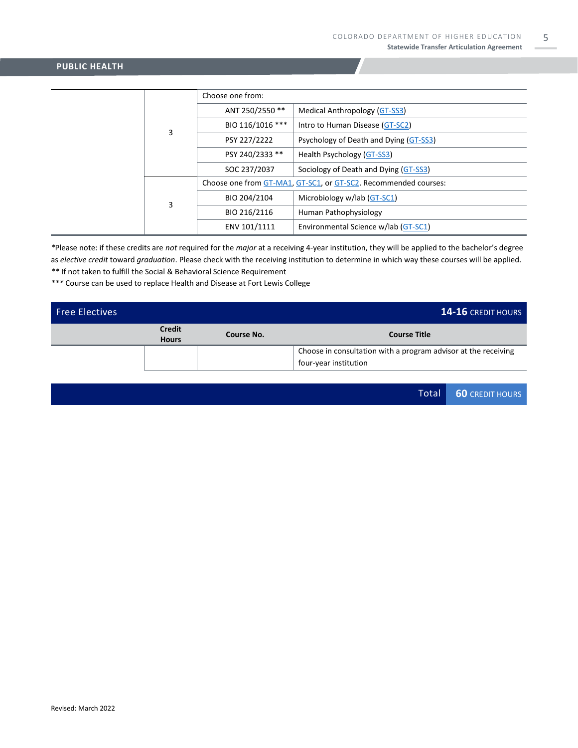|  | 3 | Choose one from: |                                                                 |  |  |
|--|---|------------------|-----------------------------------------------------------------|--|--|
|  |   | ANT 250/2550 **  | Medical Anthropology (GT-SS3)                                   |  |  |
|  |   | BIO 116/1016 *** | Intro to Human Disease (GT-SC2)                                 |  |  |
|  |   | PSY 227/2222     | Psychology of Death and Dying (GT-SS3)                          |  |  |
|  |   | PSY 240/2333 **  | Health Psychology (GT-SS3)                                      |  |  |
|  |   | SOC 237/2037     | Sociology of Death and Dying (GT-SS3)                           |  |  |
|  | 3 |                  | Choose one from GT-MA1, GT-SC1, or GT-SC2. Recommended courses: |  |  |
|  |   | BIO 204/2104     | Microbiology w/lab (GT-SC1)                                     |  |  |
|  |   | BIO 216/2116     | Human Pathophysiology                                           |  |  |
|  |   | ENV 101/1111     | Environmental Science w/lab (GT-SC1)                            |  |  |

*\**Please note: if these credits are *not* required for the *major* at a receiving 4-year institution, they will be applied to the bachelor's degree as *elective credit* toward *graduation*. Please check with the receiving institution to determine in which way these courses will be applied. *\*\** If not taken to fulfill the Social & Behavioral Science Requirement

*\*\*\** Course can be used to replace Health and Disease at Fort Lewis College

| Free Electives |                               |            | <b>14-16 CREDIT HOURS</b>                                                               |
|----------------|-------------------------------|------------|-----------------------------------------------------------------------------------------|
|                | <b>Credit</b><br><b>Hours</b> | Course No. | <b>Course Title</b>                                                                     |
|                |                               |            | Choose in consultation with a program advisor at the receiving<br>four-year institution |

Total **60** CREDIT HOURS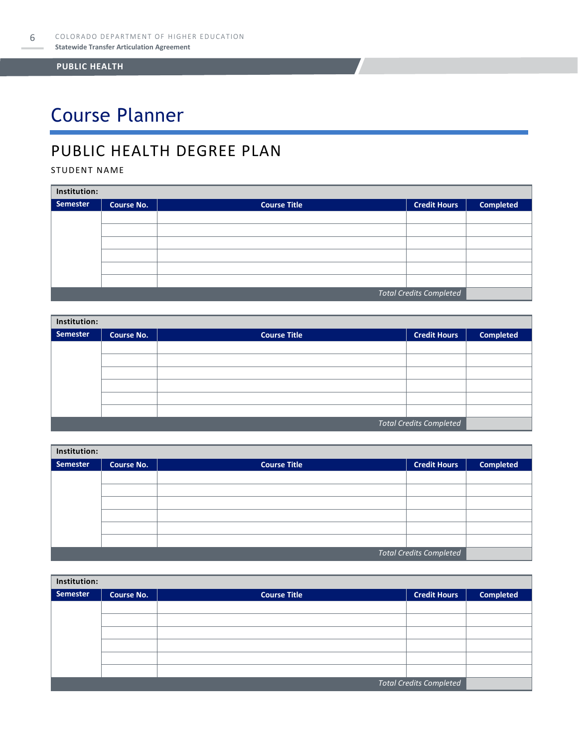# Course Planner

### PUBLIC HEALTH DEGREE PLAN

STUDENT NAME

| Institution:                   |                   |                     |                     |                  |  |  |
|--------------------------------|-------------------|---------------------|---------------------|------------------|--|--|
| Semester                       | <b>Course No.</b> | <b>Course Title</b> | <b>Credit Hours</b> | <b>Completed</b> |  |  |
|                                |                   |                     |                     |                  |  |  |
|                                |                   |                     |                     |                  |  |  |
|                                |                   |                     |                     |                  |  |  |
|                                |                   |                     |                     |                  |  |  |
|                                |                   |                     |                     |                  |  |  |
|                                |                   |                     |                     |                  |  |  |
| <b>Total Credits Completed</b> |                   |                     |                     |                  |  |  |

| Institution: |                                |                     |                     |                  |  |  |  |
|--------------|--------------------------------|---------------------|---------------------|------------------|--|--|--|
| Semester     | <b>Course No.</b>              | <b>Course Title</b> | <b>Credit Hours</b> | <b>Completed</b> |  |  |  |
|              |                                |                     |                     |                  |  |  |  |
|              |                                |                     |                     |                  |  |  |  |
|              |                                |                     |                     |                  |  |  |  |
|              |                                |                     |                     |                  |  |  |  |
|              |                                |                     |                     |                  |  |  |  |
|              |                                |                     |                     |                  |  |  |  |
|              | <b>Total Credits Completed</b> |                     |                     |                  |  |  |  |

| Institution: |                   |                     |                                |                  |  |  |
|--------------|-------------------|---------------------|--------------------------------|------------------|--|--|
| Semester     | <b>Course No.</b> | <b>Course Title</b> | <b>Credit Hours</b>            | <b>Completed</b> |  |  |
|              |                   |                     |                                |                  |  |  |
|              |                   |                     |                                |                  |  |  |
|              |                   |                     |                                |                  |  |  |
|              |                   |                     |                                |                  |  |  |
|              |                   |                     |                                |                  |  |  |
|              |                   |                     |                                |                  |  |  |
|              |                   |                     | <b>Total Credits Completed</b> |                  |  |  |

| Institution:                   |                   |                     |                     |                  |  |  |
|--------------------------------|-------------------|---------------------|---------------------|------------------|--|--|
| Semester                       | <b>Course No.</b> | <b>Course Title</b> | <b>Credit Hours</b> | <b>Completed</b> |  |  |
|                                |                   |                     |                     |                  |  |  |
|                                |                   |                     |                     |                  |  |  |
|                                |                   |                     |                     |                  |  |  |
|                                |                   |                     |                     |                  |  |  |
|                                |                   |                     |                     |                  |  |  |
|                                |                   |                     |                     |                  |  |  |
| <b>Total Credits Completed</b> |                   |                     |                     |                  |  |  |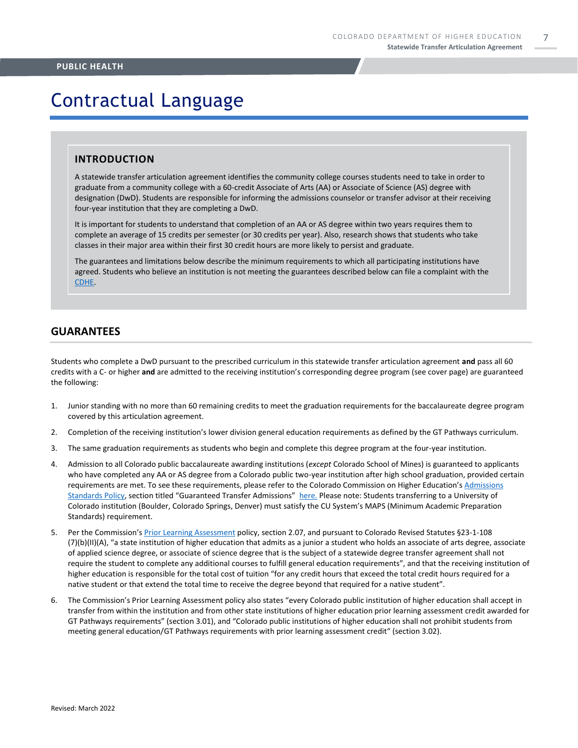# Contractual Language

#### **INTRODUCTION**

A statewide transfer articulation agreement identifies the community college courses students need to take in order to graduate from a community college with a 60-credit Associate of Arts (AA) or Associate of Science (AS) degree with designation (DwD). Students are responsible for informing the admissions counselor or transfer advisor at their receiving four-year institution that they are completing a DwD.

It is important for students to understand that completion of an AA or AS degree within two years requires them to complete an average of 15 credits per semester (or 30 credits per year). Also, research shows that students who take classes in their major area within their first 30 credit hours are more likely to persist and graduate.

The guarantees and limitations below describe the minimum requirements to which all participating institutions have agreed. Students who believe an institution is not meeting the guarantees described below can file a complaint with the [CDHE.](https://highered.colorado.gov/filing-student-complaint)

#### **GUARANTEES**

Students who complete a DwD pursuant to the prescribed curriculum in this statewide transfer articulation agreement **and** pass all 60 credits with a C- or higher **and** are admitted to the receiving institution's corresponding degree program (see cover page) are guaranteed the following:

- 1. Junior standing with no more than 60 remaining credits to meet the graduation requirements for the baccalaureate degree program covered by this articulation agreement.
- 2. Completion of the receiving institution's lower division general education requirements as defined by the GT Pathways curriculum.
- 3. The same graduation requirements as students who begin and complete this degree program at the four-year institution.
- 4. Admission to all Colorado public baccalaureate awarding institutions (*except* Colorado School of Mines) is guaranteed to applicants who have completed any AA or AS degree from a Colorado public two-year institution after high school graduation, provided certain requirements are met. To see these requirements, please refer to the Colorado Commission on Higher Education's [Admissions](https://highered.colorado.gov/sites/highered/files/2020-03/i-partf_0.pdf)  [Standards Policy](https://highered.colorado.gov/sites/highered/files/2020-03/i-partf_0.pdf), section titled "Guaranteed Transfer Admissions" [here.](https://highered.colorado.gov/educators/policy-funding/cche-policies-procedures) Please note: Students transferring to a University of Colorado institution (Boulder, Colorado Springs, Denver) must satisfy the CU System's MAPS (Minimum Academic Preparation Standards) requirement.
- 5. Per the Commission's [Prior Learning Assessment](https://highered.colorado.gov/sites/highered/files/2020-03/i-partx.pdf) policy, section 2.07, and pursuant to Colorado Revised Statutes §23-1-108 (7)(b)(II)(A), "a state institution of higher education that admits as a junior a student who holds an associate of arts degree, associate of applied science degree, or associate of science degree that is the subject of a statewide degree transfer agreement shall not require the student to complete any additional courses to fulfill general education requirements", and that the receiving institution of higher education is responsible for the total cost of tuition "for any credit hours that exceed the total credit hours required for a native student or that extend the total time to receive the degree beyond that required for a native student".
- 6. The Commission's Prior Learning Assessment policy also states "every Colorado public institution of higher education shall accept in transfer from within the institution and from other state institutions of higher education prior learning assessment credit awarded for GT Pathways requirements" (section 3.01), and "Colorado public institutions of higher education shall not prohibit students from meeting general education/GT Pathways requirements with prior learning assessment credit" (section 3.02).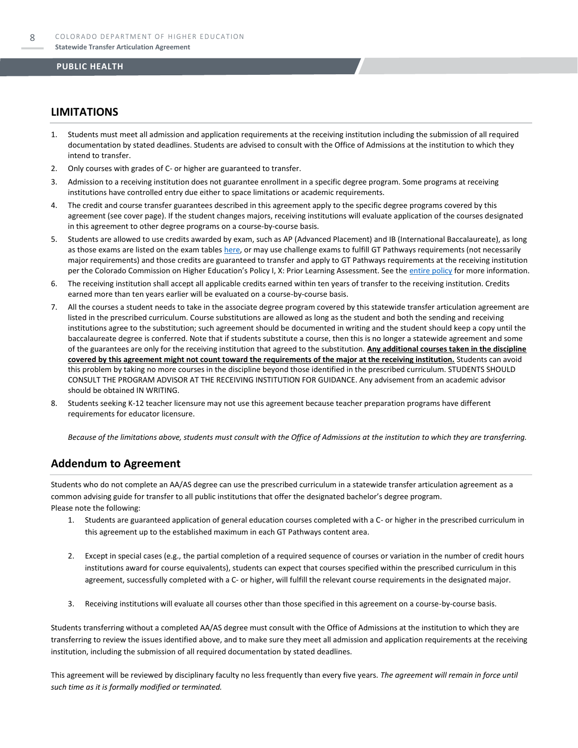#### **LIMITATIONS**

- 1. Students must meet all admission and application requirements at the receiving institution including the submission of all required documentation by stated deadlines. Students are advised to consult with the Office of Admissions at the institution to which they intend to transfer.
- 2. Only courses with grades of C- or higher are guaranteed to transfer.
- 3. Admission to a receiving institution does not guarantee enrollment in a specific degree program. Some programs at receiving institutions have controlled entry due either to space limitations or academic requirements.
- 4. The credit and course transfer guarantees described in this agreement apply to the specific degree programs covered by this agreement (see cover page). If the student changes majors, receiving institutions will evaluate application of the courses designated in this agreement to other degree programs on a course-by-course basis.
- 5. Students are allowed to use credits awarded by exam, such as AP (Advanced Placement) and IB (International Baccalaureate), as long as those exams are listed on the exam table[s here,](https://highered.colorado.gov/get-credit-for-what-you-already-know) or may use challenge exams to fulfill GT Pathways requirements (not necessarily major requirements) and those credits are guaranteed to transfer and apply to GT Pathways requirements at the receiving institution per the Colorado Commission on Higher Education's Policy I, X: Prior Learning Assessment. See the [entire policy](https://highered.colorado.gov/sites/highered/files/2020-03/i-partx.pdf) for more information.
- 6. The receiving institution shall accept all applicable credits earned within ten years of transfer to the receiving institution. Credits earned more than ten years earlier will be evaluated on a course-by-course basis.
- 7. All the courses a student needs to take in the associate degree program covered by this statewide transfer articulation agreement are listed in the prescribed curriculum. Course substitutions are allowed as long as the student and both the sending and receiving institutions agree to the substitution; such agreement should be documented in writing and the student should keep a copy until the baccalaureate degree is conferred. Note that if students substitute a course, then this is no longer a statewide agreement and some of the guarantees are only for the receiving institution that agreed to the substitution. **Any additional courses taken in the discipline covered by this agreement might not count toward the requirements of the major at the receiving institution.** Students can avoid this problem by taking no more courses in the discipline beyond those identified in the prescribed curriculum. STUDENTS SHOULD CONSULT THE PROGRAM ADVISOR AT THE RECEIVING INSTITUTION FOR GUIDANCE. Any advisement from an academic advisor should be obtained IN WRITING.
- Students seeking K-12 teacher licensure may not use this agreement because teacher preparation programs have different requirements for educator licensure.

*Because of the limitations above, students must consult with the Office of Admissions at the institution to which they are transferring.*

#### **Addendum to Agreement**

Students who do not complete an AA/AS degree can use the prescribed curriculum in a statewide transfer articulation agreement as a common advising guide for transfer to all public institutions that offer the designated bachelor's degree program. Please note the following:

- 1. Students are guaranteed application of general education courses completed with a C- or higher in the prescribed curriculum in this agreement up to the established maximum in each GT Pathways content area.
- 2. Except in special cases (e.g., the partial completion of a required sequence of courses or variation in the number of credit hours institutions award for course equivalents), students can expect that courses specified within the prescribed curriculum in this agreement, successfully completed with a C- or higher, will fulfill the relevant course requirements in the designated major.
- 3. Receiving institutions will evaluate all courses other than those specified in this agreement on a course-by-course basis.

Students transferring without a completed AA/AS degree must consult with the Office of Admissions at the institution to which they are transferring to review the issues identified above, and to make sure they meet all admission and application requirements at the receiving institution, including the submission of all required documentation by stated deadlines.

This agreement will be reviewed by disciplinary faculty no less frequently than every five years. *The agreement will remain in force until such time as it is formally modified or terminated.*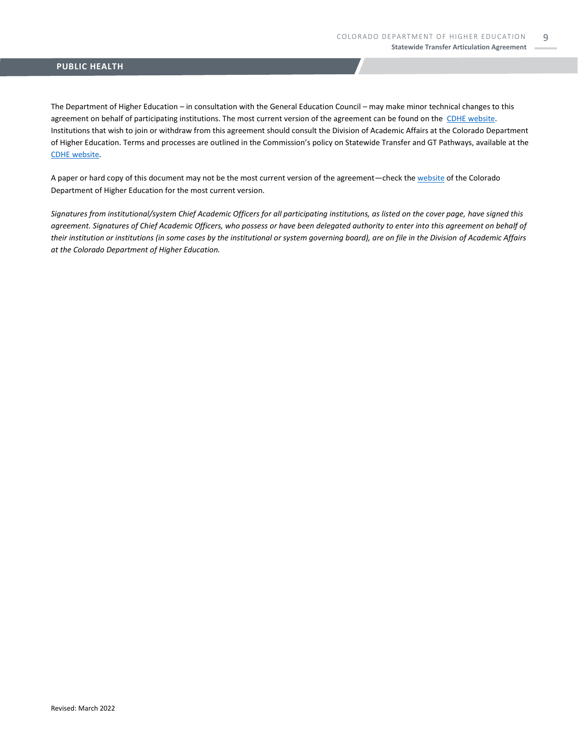The Department of Higher Education – in consultation with the General Education Council – may make minor technical changes to this agreement on behalf of participating institutions. The most current version of the agreement can be found on the [CDHE website.](https://highered.colorado.gov/transfer-degrees) Institutions that wish to join or withdraw from this agreement should consult the Division of Academic Affairs at the Colorado Department of Higher Education. Terms and processes are outlined in the Commission's policy on Statewide Transfer and GT Pathways, available at the CDHE [website.](https://highered.colorado.gov/educators/policy-funding/general-education-ge-council/gtpathways/transfer-agreements)

A paper or hard copy of this document may not be the most current version of the agreement—check th[e website](https://highered.colorado.gov/transfer-degrees) of the Colorado Department of Higher Education for the most current version.

*Signatures from institutional/system Chief Academic Officers for all participating institutions, as listed on the cover page, have signed this agreement. Signatures of Chief Academic Officers, who possess or have been delegated authority to enter into this agreement on behalf of their institution or institutions (in some cases by the institutional or system governing board), are on file in the Division of Academic Affairs at the Colorado Department of Higher Education.*